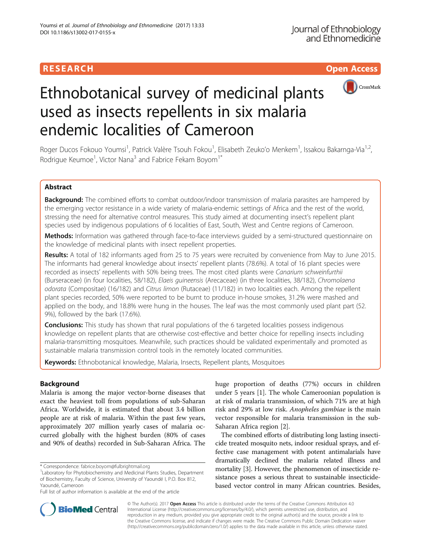# **RESEARCH CHING CONSUMING CONSUMING CONSUMING CONSUMING CONSUMING CONSUMING CONSUMING CONSUMING CONSUMING CONSUMING CONSUMING CONSUMING CONSUMING CONSUMING CONSUMING CONSUMING CONSUMING CONSUMING CONSUMING CONSUMING CONS**



# Ethnobotanical survey of medicinal plants used as insects repellents in six malaria endemic localities of Cameroon

Roger Ducos Fokouo Youmsi<sup>1</sup>, Patrick Valère Tsouh Fokou<sup>1</sup>, Elisabeth Zeuko'o Menkem<sup>1</sup>, Issakou Bakarnga-Via<sup>1,2</sup>, Rodrigue Keumoe<sup>1</sup>, Victor Nana<sup>3</sup> and Fabrice Fekam Boyom<sup>1\*</sup>

# Abstract

Background: The combined efforts to combat outdoor/indoor transmission of malaria parasites are hampered by the emerging vector resistance in a wide variety of malaria-endemic settings of Africa and the rest of the world, stressing the need for alternative control measures. This study aimed at documenting insect's repellent plant species used by indigenous populations of 6 localities of East, South, West and Centre regions of Cameroon.

Methods: Information was gathered through face-to-face interviews quided by a semi-structured questionnaire on the knowledge of medicinal plants with insect repellent properties.

Results: A total of 182 informants aged from 25 to 75 years were recruited by convenience from May to June 2015. The informants had general knowledge about insects' repellent plants (78.6%). A total of 16 plant species were recorded as insects' repellents with 50% being trees. The most cited plants were Canarium schweinfurthii (Burseraceae) (in four localities, 58/182), Elaeis guineensis (Arecaceae) (in three localities, 38/182), Chromolaena odorata (Compositae) (16/182) and Citrus limon (Rutaceae) (11/182) in two localities each. Among the repellent plant species recorded, 50% were reported to be burnt to produce in-house smokes, 31.2% were mashed and applied on the body, and 18.8% were hung in the houses. The leaf was the most commonly used plant part (52. 9%), followed by the bark (17.6%).

**Conclusions:** This study has shown that rural populations of the 6 targeted localities possess indigenous knowledge on repellent plants that are otherwise cost-effective and better choice for repelling insects including malaria-transmitting mosquitoes. Meanwhile, such practices should be validated experimentally and promoted as sustainable malaria transmission control tools in the remotely located communities.

Keywords: Ethnobotanical knowledge, Malaria, Insects, Repellent plants, Mosquitoes

# Background

Malaria is among the major vector-borne diseases that exact the heaviest toll from populations of sub-Saharan Africa. Worldwide, it is estimated that about 3.4 billion people are at risk of malaria. Within the past few years, approximately 207 million yearly cases of malaria occurred globally with the highest burden (80% of cases and 90% of deaths) recorded in Sub-Saharan Africa. The

Full list of author information is available at the end of the article

huge proportion of deaths (77%) occurs in children under 5 years [[1\]](#page-11-0). The whole Cameroonian population is at risk of malaria transmission, of which 71% are at high risk and 29% at low risk. Anopheles gambiae is the main vector responsible for malaria transmission in the sub-Saharan Africa region [\[2\]](#page-11-0).

The combined efforts of distributing long lasting insecticide treated mosquito nets, indoor residual sprays, and effective case management with potent antimalarials have dramatically declined the malaria related illness and mortality [\[3\]](#page-11-0). However, the phenomenon of insecticide resistance poses a serious threat to sustainable insecticidebased vector control in many African countries. Besides,



© The Author(s). 2017 **Open Access** This article is distributed under the terms of the Creative Commons Attribution 4.0 International License [\(http://creativecommons.org/licenses/by/4.0/](http://creativecommons.org/licenses/by/4.0/)), which permits unrestricted use, distribution, and reproduction in any medium, provided you give appropriate credit to the original author(s) and the source, provide a link to the Creative Commons license, and indicate if changes were made. The Creative Commons Public Domain Dedication waiver [\(http://creativecommons.org/publicdomain/zero/1.0/](http://creativecommons.org/publicdomain/zero/1.0/)) applies to the data made available in this article, unless otherwise stated.

<sup>\*</sup> Correspondence: [fabrice.boyom@fulbrightmail.org](mailto:fabrice.boyom@fulbrightmail.org) <sup>1</sup>

<sup>&</sup>lt;sup>1</sup> Laboratory for Phytobiochemistry and Medicinal Plants Studies, Department of Biochemistry, Faculty of Science, University of Yaoundé I, P.O. Box 812, Yaoundé, Cameroon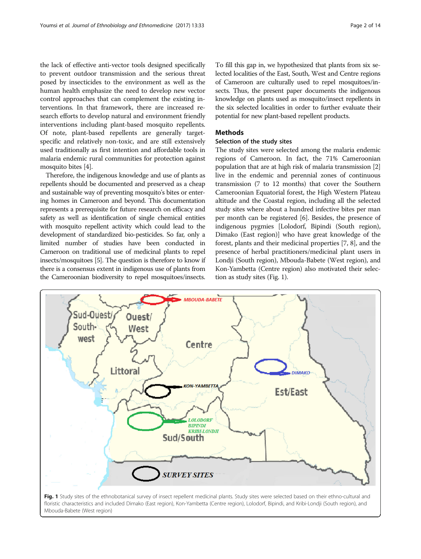the lack of effective anti-vector tools designed specifically to prevent outdoor transmission and the serious threat posed by insecticides to the environment as well as the human health emphasize the need to develop new vector control approaches that can complement the existing interventions. In that framework, there are increased research efforts to develop natural and environment friendly interventions including plant-based mosquito repellents. Of note, plant-based repellents are generally targetspecific and relatively non-toxic, and are still extensively used traditionally as first intention and affordable tools in malaria endemic rural communities for protection against mosquito bites [\[4](#page-11-0)].

Therefore, the indigenous knowledge and use of plants as repellents should be documented and preserved as a cheap and sustainable way of preventing mosquito's bites or entering homes in Cameroon and beyond. This documentation represents a prerequisite for future research on efficacy and safety as well as identification of single chemical entities with mosquito repellent activity which could lead to the development of standardized bio-pesticides. So far, only a limited number of studies have been conducted in Cameroon on traditional use of medicinal plants to repel insects/mosquitoes [[5\]](#page-11-0). The question is therefore to know if there is a consensus extent in indigenous use of plants from the Cameroonian biodiversity to repel mosquitoes/insects.

To fill this gap in, we hypothesized that plants from six selected localities of the East, South, West and Centre regions of Cameroon are culturally used to repel mosquitoes/insects. Thus, the present paper documents the indigenous knowledge on plants used as mosquito/insect repellents in the six selected localities in order to further evaluate their potential for new plant-based repellent products.

# **Methods**

# Selection of the study sites

The study sites were selected among the malaria endemic regions of Cameroon. In fact, the 71% Cameroonian population that are at high risk of malaria transmission [[2](#page-11-0)] live in the endemic and perennial zones of continuous transmission (7 to 12 months) that cover the Southern Cameroonian Equatorial forest, the High Western Plateau altitude and the Coastal region, including all the selected study sites where about a hundred infective bites per man per month can be registered [[6](#page-11-0)]. Besides, the presence of indigenous pygmies [Lolodorf, Bipindi (South region), Dimako (East region)] who have great knowledge of the forest, plants and their medicinal properties [[7, 8](#page-11-0)], and the presence of herbal practitioners/medicinal plant users in Londji (South region), Mbouda-Babete (West region), and Kon-Yambetta (Centre region) also motivated their selection as study sites (Fig. 1).



Fig. 1 Study sites of the ethnobotanical survey of insect repellent medicinal plants. Study sites were selected based on their ethno-cultural and floristic characteristics and included Dimako (East region), Kon-Yambetta (Centre region), Lolodorf, Bipindi, and Kribi-Londji (South region), and Mbouda-Babete (West region)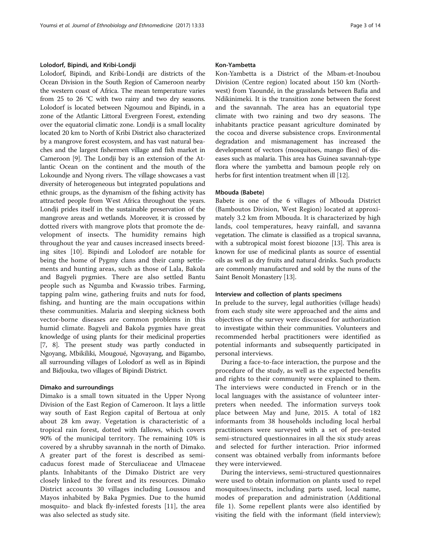#### Lolodorf, Bipindi, and Kribi-Londji

Lolodorf, Bipindi, and Kribi-Londji are districts of the Ocean Division in the South Region of Cameroon nearby the western coast of Africa. The mean temperature varies from 25 to 26 °C with two rainy and two dry seasons. Lolodorf is located between Ngoumou and Bipindi, in a zone of the Atlantic Littoral Evergreen Forest, extending over the equatorial climatic zone. Londji is a small locality located 20 km to North of Kribi District also characterized by a mangrove forest ecosystem, and has vast natural beaches and the largest fishermen village and fish market in Cameroon [[9](#page-11-0)]. The Londji bay is an extension of the Atlantic Ocean on the continent and the mouth of the Lokoundje and Nyong rivers. The village showcases a vast diversity of heterogeneous but integrated populations and ethnic groups, as the dynamism of the fishing activity has attracted people from West Africa throughout the years. Londji prides itself in the sustainable preservation of the mangrove areas and wetlands. Moreover, it is crossed by dotted rivers with mangrove plots that promote the development of insects. The humidity remains high throughout the year and causes increased insects breeding sites [[10\]](#page-11-0). Bipindi and Lolodorf are notable for being the home of Pygmy clans and their camp settlements and hunting areas, such as those of Lala, Bakola and Bagyeli pygmies. There are also settled Bantu people such as Ngumba and Kwassio tribes. Farming, tapping palm wine, gathering fruits and nuts for food, fishing, and hunting are the main occupations within these communities. Malaria and sleeping sickness both vector-borne diseases are common problems in this humid climate. Bagyeli and Bakola pygmies have great knowledge of using plants for their medicinal properties [[7, 8\]](#page-11-0). The present study was partly conducted in Ngoyang, Mbikiliki, Mougoué, Ngovayang, and Bigambo, all surrounding villages of Lolodorf as well as in Bipindi and Bidjouka, two villages of Bipindi District.

#### Dimako and surroundings

Dimako is a small town situated in the Upper Nyong Division of the East Region of Cameroon. It lays a little way south of East Region capital of Bertoua at only about 28 km away. Vegetation is characteristic of a tropical rain forest, dotted with fallows, which covers 90% of the municipal territory. The remaining 10% is covered by a shrubby savannah in the north of Dimako. A greater part of the forest is described as semicaducus forest made of Sterculiaceae and Ulmaceae plants. Inhabitants of the Dimako District are very closely linked to the forest and its resources. Dimako District accounts 30 villages including Loussou and Mayos inhabited by Baka Pygmies. Due to the humid mosquito- and black fly-infested forests [[11\]](#page-11-0), the area was also selected as study site.

### Kon-Yambetta

Kon-Yambetta is a District of the Mbam-et-Inoubou Division (Centre region) located about 150 km (Northwest) from Yaoundé, in the grasslands between Bafia and Ndikinimeki. It is the transition zone between the forest and the savannah. The area has an equatorial type climate with two raining and two dry seasons. The inhabitants practice peasant agriculture dominated by the cocoa and diverse subsistence crops. Environmental degradation and mismanagement has increased the development of vectors (mosquitoes, mango flies) of diseases such as malaria. This area has Guinea savannah-type flora where the yambetta and bamoun people rely on herbs for first intention treatment when ill [[12](#page-11-0)].

#### Mbouda (Babete)

Babete is one of the 6 villages of Mbouda District (Bamboutos Division, West Region) located at approximately 3.2 km from Mbouda. It is characterized by high lands, cool temperatures, heavy rainfall, and savanna vegetation. The climate is classified as a tropical savanna, with a subtropical moist forest biozone [\[13\]](#page-11-0). This area is known for use of medicinal plants as source of essential oils as well as dry fruits and natural drinks. Such products are commonly manufactured and sold by the nuns of the Saint Benoît Monastery [[13](#page-11-0)].

#### Interview and collection of plants specimens

In prelude to the survey, legal authorities (village heads) from each study site were approached and the aims and objectives of the survey were discussed for authorization to investigate within their communities. Volunteers and recommended herbal practitioners were identified as potential informants and subsequently participated in personal interviews.

During a face-to-face interaction, the purpose and the procedure of the study, as well as the expected benefits and rights to their community were explained to them. The interviews were conducted in French or in the local languages with the assistance of volunteer interpreters when needed. The information surveys took place between May and June, 2015. A total of 182 informants from 38 households including local herbal practitioners were surveyed with a set of pre-tested semi-structured questionnaires in all the six study areas and selected for further interaction. Prior informed consent was obtained verbally from informants before they were interviewed.

During the interviews, semi-structured questionnaires were used to obtain information on plants used to repel mosquitoes/insects, including parts used, local name, modes of preparation and administration (Additional file [1\)](#page-10-0). Some repellent plants were also identified by visiting the field with the informant (field interview);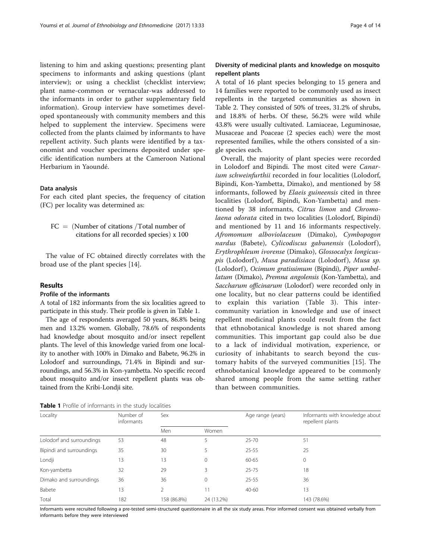listening to him and asking questions; presenting plant specimens to informants and asking questions (plant interview); or using a checklist (checklist interview; plant name-common or vernacular-was addressed to the informants in order to gather supplementary field information). Group interview have sometimes developed spontaneously with community members and this helped to supplement the interview. Specimens were collected from the plants claimed by informants to have repellent activity. Such plants were identified by a taxonomist and voucher specimens deposited under specific identification numbers at the Cameroon National Herbarium in Yaoundé.

### Data analysis

For each cited plant species, the frequency of citation (FC) per locality was determined as:

 $FC = (Number of citations /Total number of$ citations for all recorded species)  $x$  100

The value of FC obtained directly correlates with the broad use of the plant species [[14\]](#page-11-0).

# Results

# Profile of the informants

A total of 182 informants from the six localities agreed to participate in this study. Their profile is given in Table 1.

The age of respondents averaged 50 years, 86.8% being men and 13.2% women. Globally, 78.6% of respondents had knowledge about mosquito and/or insect repellent plants. The level of this knowledge varied from one locality to another with 100% in Dimako and Babete, 96.2% in Lolodorf and surroundings, 71.4% in Bipindi and surroundings, and 56.3% in Kon-yambetta. No specific record about mosquito and/or insect repellent plants was obtained from the Kribi-Londji site.

# Diversity of medicinal plants and knowledge on mosquito repellent plants

A total of 16 plant species belonging to 15 genera and 14 families were reported to be commonly used as insect repellents in the targeted communities as shown in Table [2.](#page-4-0) They consisted of 50% of trees, 31.2% of shrubs, and 18.8% of herbs. Of these, 56.2% were wild while 43.8% were usually cultivated. Lamiaceae, Leguminosae, Musaceae and Poaceae (2 species each) were the most represented families, while the others consisted of a single species each.

Overall, the majority of plant species were recorded in Lolodorf and Bipindi. The most cited were Canarium schweinfurthii recorded in four localities (Lolodorf, Bipindi, Kon-Yambetta, Dimako), and mentioned by 58 informants, followed by Elaeis guineensis cited in three localities (Lolodorf, Bipindi, Kon-Yambetta) and mentioned by 38 informants, Citrus limon and Chromolaena odorata cited in two localities (Lolodorf, Bipindi) and mentioned by 11 and 16 informants respectively. Afromomum alboviolaceum (Dimako), Cymbopogon nardus (Babete), Cylicodiscus gabunensis (Lolodorf), Erythrophleum ivorense (Dimako), Glossocalyx longicuspis (Lolodorf), Musa paradisiaca (Lolodorf), Musa sp. (Lolodorf), Ocimum gratissimum (Bipindi), Piper umbellatum (Dimako), Premna angolensis (Kon-Yambetta), and Saccharum officinarum (Lolodorf) were recorded only in one locality, but no clear patterns could be identified to explain this variation (Table [3\)](#page-5-0). This intercommunity variation in knowledge and use of insect repellent medicinal plants could result from the fact that ethnobotanical knowledge is not shared among communities. This important gap could also be due to a lack of individual motivation, experience, or curiosity of inhabitants to search beyond the customary habits of the surveyed communities [\[15](#page-11-0)]. The ethnobotanical knowledge appeared to be commonly shared among people from the same setting rather than between communities.

| Locality                  | Number of<br>informants | Sex            |              | Age range (years) | Informants with knowledge about<br>repellent plants |  |  |
|---------------------------|-------------------------|----------------|--------------|-------------------|-----------------------------------------------------|--|--|
|                           |                         | Men            | Women        |                   |                                                     |  |  |
| Lolodorf and surroundings | 53                      | 48             |              | $25 - 70$         | 51                                                  |  |  |
| Bipindi and surroundings  | 35                      | 30             | 5            | $25 - 55$         | 25                                                  |  |  |
| Londji                    | 13                      | 13             | $\mathbf{0}$ | 60-65             | 0                                                   |  |  |
| Kon-yambetta              | 32                      | 29             | 3            | $25 - 75$         | 18                                                  |  |  |
| Dimako and surroundings   | 36                      | 36             | $\mathbf{0}$ | $25 - 55$         | 36                                                  |  |  |
| Babete                    | 13                      | $\mathfrak{D}$ | 11           | $40 - 60$         | 13                                                  |  |  |
| Total                     | 182                     | 158 (86.8%)    | 24 (13.2%)   |                   | 143 (78.6%)                                         |  |  |

Table 1 Profile of informants in the study localities

Informants were recruited following a pre-tested semi-structured questionnaire in all the six study areas. Prior informed consent was obtained verbally from informants before they were interviewed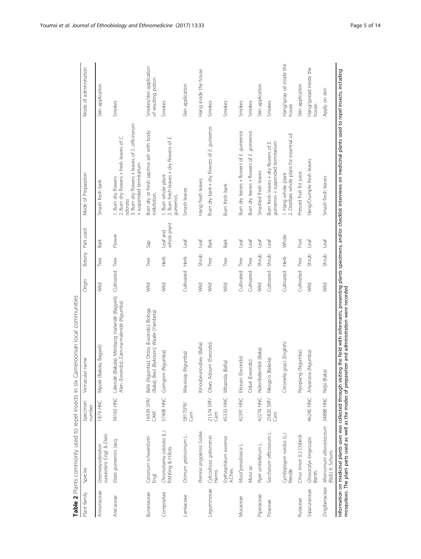<span id="page-4-0"></span>

|              | Table 2 Plants commonly used to repel insects in six       |                        | Cameroonian local communities                                                                                                                                                                                                                                                                                         |                 |        |                         |                                                                                                                                                          |                                                |
|--------------|------------------------------------------------------------|------------------------|-----------------------------------------------------------------------------------------------------------------------------------------------------------------------------------------------------------------------------------------------------------------------------------------------------------------------|-----------------|--------|-------------------------|----------------------------------------------------------------------------------------------------------------------------------------------------------|------------------------------------------------|
| Plant family | Species                                                    | Specimen<br>number     | Vernacular name                                                                                                                                                                                                                                                                                                       | Origin          | Botany | Part used               | Mode of Preparation                                                                                                                                      | Mode of administration                         |
| Annonaceae   | suaveolens Engl. & Diels<br>Greenwayodendron               | <b>1879 HNC</b>        | (Bakola, Bagyeli)<br>Mpolè                                                                                                                                                                                                                                                                                            | Wild            | Tree   | <b>Bark</b>             | Smash fresh bark                                                                                                                                         | Skin application                               |
| Arecaceae    | Elaeis guineensis Jacq.                                    | 34163 HNC              | Lélendé (Bakola); Mimbang malendé (Bagyeli);<br>Alen (Ewondo); Zam-na-malendé (Ngumba)                                                                                                                                                                                                                                | Cultivated Tree |        | Flower                  | 3. Burn dry flowers + leaves of S. officinarum<br>2. Burn dry flowers + fresh leaves of C.<br>+ suspended termitarium<br>1. Burn dry flowers<br>odorata. | Smokes                                         |
| Burseraceae  | Canarium schweinfurtii<br>Engl.                            | 16929 SFR/<br>EAM      | Vgumba); Ottou (Ewondo); Bologa<br>Beul (Bakoum); Waate (Yambeta)<br>Bélè (N<br>(Baka);                                                                                                                                                                                                                               | Wild            | Tree   | Sap                     | Burn dry or fresh sap/mix ash with body<br>milk/lotion.                                                                                                  | Smokes/skin application<br>of resulting potion |
| Compositae   | Chromolaena odorata (L.)<br>R.M.King & H.Rob.              | 57408 HNC              | Gomgom (Ngumba)                                                                                                                                                                                                                                                                                                       | Wild            | Herb   | whole plant<br>Leaf and | 1. Burn whole plant<br>2. Burn fresh leaves + dry flowers of E.<br>quineensis.                                                                           | Smokes                                         |
| Lamiaceae    | Ocimum gratissimum L.                                      | 58175FR/<br>Cam        | Massissip (Ngumba)                                                                                                                                                                                                                                                                                                    | Cultivated Herb |        | $1$ eaf                 | Smash leaves                                                                                                                                             | Skin application                               |
|              | Premna angolensis Gürke                                    |                        | Kinoubeunoubeu (Bafia)                                                                                                                                                                                                                                                                                                | Wild            | Shrub  | Leaf                    | Hang fresh leaves                                                                                                                                        | Hang inside the house                          |
| Leguminosae  | Cylicodiscus gabunensis<br>Harms                           | 21574 SRF/<br>Cam      | Adoum (Ewondo)<br>Okan;                                                                                                                                                                                                                                                                                               | Wild            | Tree   | <b>Bark</b>             | Burn dry bark + dry flowers of E. guineensis                                                                                                             | Smokes                                         |
|              | Erythrophleum ivorense<br>A.Chev.                          | 45333 HNC              | Mbamda (Bafia)                                                                                                                                                                                                                                                                                                        | Wild            | Tree   | <b>Bark</b>             | Burn fresh bark                                                                                                                                          | Smokes                                         |
| Musaceae     | Musa <sup>x</sup> paradisiaca L.                           | 42391 HNC              | Ekouan (Ewondo)                                                                                                                                                                                                                                                                                                       | Cultivated      | Tree   | Leaf                    | Burn dry leaves + flowers of E. guineensis                                                                                                               | Smokes                                         |
|              | Musa sp.                                                   |                        | Odué (Ewondo)                                                                                                                                                                                                                                                                                                         | Cultivated      | Tree   | Leaf                    | Burn dry leaves + flowers of E. guineensis                                                                                                               | Smokes                                         |
| Piperaceae   | Piper umbellatum L                                         | 42274 HNC              | Ndembèlembè (Baka)                                                                                                                                                                                                                                                                                                    | wild            | Shrub  | Leaf                    | Smashed fresh leaves                                                                                                                                     | Skin application                               |
| Poaceae      | Saccharum officinarum L.                                   | 25820 SRF/<br>Cam      | Nkogo'o (Bakola)                                                                                                                                                                                                                                                                                                      | Cultivated      | Shrub  | Leaf                    | guineensis + suspended termitarium<br>Burn fresh leaves + dry flowers of E.                                                                              | Smokes                                         |
|              | Cymbopogon nardus (L.)<br>Rendle                           |                        | Citronella grass (English)                                                                                                                                                                                                                                                                                            | Cultivated      | Herb   | Whole                   | 2. Distillate whole plant for essential oil<br>1. Hang whole plant                                                                                       | Hang/spray oil inside the<br>house             |
| Rutaceae     | Citrus limon (L.) Osbeck                                   |                        | Nyopiang (Ngumba)                                                                                                                                                                                                                                                                                                     | Cultivated      | Tree   | Fruit                   | Pressed fruit for juice.                                                                                                                                 | Skin application                               |
| Siparunaceae | Glossocalyx longicuspis<br>Benth.                          | 46245 HNC              | Anyanzoa (Ngumba)                                                                                                                                                                                                                                                                                                     | wild            | Shrub  | Leaf                    | Hang/Crumple fresh leaves                                                                                                                                | Hang/spread inside the<br>house.               |
|              | Zingiberaceae Aframomum alboviolaceum<br>(Ridl.) K. Schum. | 34888 HNC Ndjii (Baka) |                                                                                                                                                                                                                                                                                                                       | Wild            | Shrub  | Leaf                    | Smash fresh leaves                                                                                                                                       | Apply on skin                                  |
|              |                                                            |                        | Information on medicinal plants uses was collected through visiting the field with informants, presenting plants specimens, and/or checklist interviews on medicinal plants used to repel insects, including<br>mosquitoes. The plant parts used as well as the modes of preparation and administration were recorded |                 |        |                         |                                                                                                                                                          |                                                |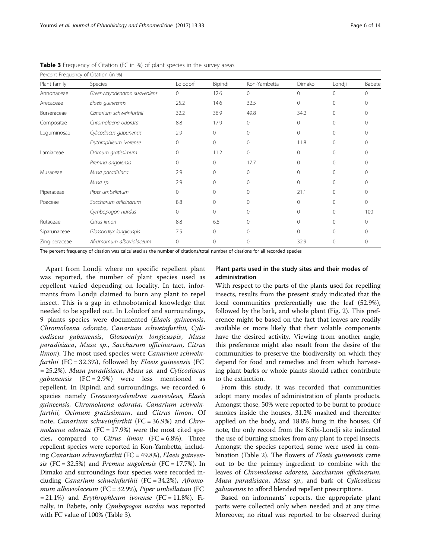|               | Percent Frequency of Citation (in %) |          |              |              |          |              |              |
|---------------|--------------------------------------|----------|--------------|--------------|----------|--------------|--------------|
| Plant family  | Species                              | Lolodorf | Bipindi      | Kon-Yambetta | Dimako   | Londji       | Babete       |
| Annonaceae    | Greenwayodendron suaveolens          | 0        | 12.6         | $\Omega$     | $\Omega$ | $\Omega$     | $\Omega$     |
| Arecaceae     | Elaeis guineensis                    | 25.2     | 14.6         | 32.5         | $\Omega$ | $\mathbf{0}$ | $\Omega$     |
| Burseraceae   | Canarium schweinfurthii              | 32.2     | 36.9         | 49.8         | 34.2     | $\Omega$     | $\Omega$     |
| Compositae    | Chromolaena odorata                  | 8.8      | 17.9         | $\mathbf{0}$ | 0        | $\mathbf{0}$ | $\Omega$     |
| Leguminosae   | Cylicodiscus gabunensis              | 2.9      | $\mathbf 0$  | $\Omega$     | $\Omega$ | $\Omega$     | $\Omega$     |
|               | Erythrophleum ivorense               | 0        | $\mathbf{0}$ | $\Omega$     | 11.8     | $\mathbf{0}$ | $\Omega$     |
| Lamiaceae     | Ocimum gratissimum                   | 0        | 11.2         | $\Omega$     | $\Omega$ | $\Omega$     | $\Omega$     |
|               | Premna angolensis                    | 0        | 0            | 17.7         | $\Omega$ | $\mathbf{0}$ | $\Omega$     |
| Musaceae      | Musa paradisiaca                     | 2.9      | $\mathbf{0}$ | $\Omega$     | $\Omega$ | $\Omega$     | $\Omega$     |
|               | Musa sp.                             | 2.9      | $\mathbf{0}$ | $\Omega$     | 0        | $\Omega$     | $\Omega$     |
| Piperaceae    | Piper umbellatum                     | 0        | 0            | $\Omega$     | 21.1     | $\Omega$     | $\Omega$     |
| Poaceae       | Saccharum officinarum                | 8.8      | 0            | 0            | $\Omega$ | $\mathbf{0}$ | $\mathbf{0}$ |
|               | Cymbopogon nardus                    | 0        | $\mathbf{0}$ | $\Omega$     | $\Omega$ | $\Omega$     | 100          |
| Rutaceae      | Citrus limon                         | 8.8      | 6.8          | $\Omega$     | $\Omega$ | $\Omega$     | $\Omega$     |
| Siparunaceae  | Glossocalyx longicuspis              | 7.5      | 0            | $\cap$       | $\Omega$ | $\Omega$     | $\cap$       |
| Zingiberaceae | Aframomum alboviolaceum              | 0        | $\mathbf 0$  | 0            | 32.9     | $\mathbf 0$  | 0            |

<span id="page-5-0"></span>Table 3 Frequency of Citation (FC in %) of plant species in the survey areas

The percent frequency of citation was calculated as the number of citations/total number of citations for all recorded species

Apart from Londji where no specific repellent plant was reported, the number of plant species used as repellent varied depending on locality. In fact, informants from Londji claimed to burn any plant to repel insect. This is a gap in ethnobotanical knowledge that needed to be spelled out. In Lolodorf and surroundings, 9 plants species were documented (Elaeis guineensis, Chromolaena odorata, Canarium schweinfurthii, Cylicodiscus gabunensis, Glossocalyx longicuspis, Musa paradisiaca, Musa sp., Saccharum officinarum, Citrus limon). The most used species were Canarium schweinfurthii (FC =  $32.3\%$ ), followed by *Elaeis guineensis* (FC = 25.2%). Musa paradisiaca, Musa sp. and Cylicodiscus gabunensis (FC = 2.9%) were less mentioned as repellent. In Bipindi and surroundings, we recorded 6 species namely Greenwayodendron suaveolens, Elaeis guineensis, Chromolaena odorata, Canarium schweinfurthii, Ocimum gratissimum, and Citrus limon. Of note, Canarium schweinfurthii (FC = 36.9%) and Chromolaena odorata (FC = 17.9%) were the most cited species, compared to *Citrus limon*  $(FC = 6.8\%)$ . Three repellent species were reported in Kon-Yambetta, including Canarium schweinfurthii (FC = 49.8%), Elaeis guineensis  $(FC = 32.5\%)$  and *Premna angolensis*  $(FC = 17.7\%).$  In Dimako and surroundings four species were recorded including Canarium schweinfurthii (FC = 34.2%), Afromomum alboviolaceum (FC = 32.9%), Piper umbellatum (FC  $= 21.1\%$ ) and *Erythrophleum ivorense* (FC = 11.8%). Finally, in Babete, only Cymbopogon nardus was reported with FC value of 100% (Table 3).

# Plant parts used in the study sites and their modes of administration

With respect to the parts of the plants used for repelling insects, results from the present study indicated that the local communities preferentially use the leaf (52.9%), followed by the bark, and whole plant (Fig. [2](#page-6-0)). This preference might be based on the fact that leaves are readily available or more likely that their volatile components have the desired activity. Viewing from another angle, this preference might also result from the desire of the communities to preserve the biodiversity on which they depend for food and remedies and from which harvesting plant barks or whole plants should rather contribute to the extinction.

From this study, it was recorded that communities adopt many modes of administration of plants products. Amongst those, 50% were reported to be burnt to produce smokes inside the houses, 31.2% mashed and thereafter applied on the body, and 18.8% hung in the houses. Of note, the only record from the Kribi-Londji site indicated the use of burning smokes from any plant to repel insects. Amongst the species reported, some were used in combination (Table [2\)](#page-4-0). The flowers of Elaeis guineensis came out to be the primary ingredient to combine with the leaves of Chromolaena odorata, Saccharum officinarum, Musa paradisiaca, Musa sp., and bark of Cylicodiscus gabunensis to afford blended repellent prescriptions.

Based on informants' reports, the appropriate plant parts were collected only when needed and at any time. Moreover, no ritual was reported to be observed during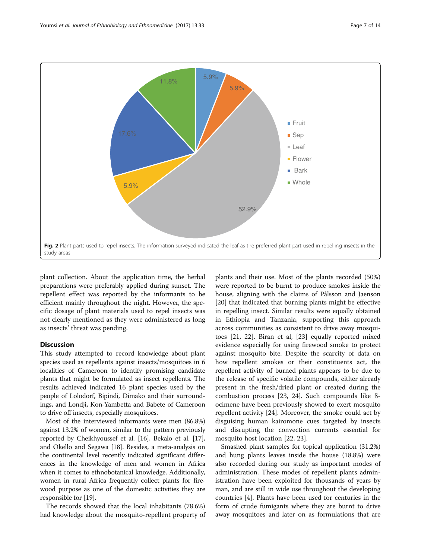<span id="page-6-0"></span>

plant collection. About the application time, the herbal preparations were preferably applied during sunset. The repellent effect was reported by the informants to be efficient mainly throughout the night. However, the specific dosage of plant materials used to repel insects was not clearly mentioned as they were administered as long as insects' threat was pending.

# **Discussion**

This study attempted to record knowledge about plant species used as repellents against insects/mosquitoes in 6 localities of Cameroon to identify promising candidate plants that might be formulated as insect repellents. The results achieved indicated 16 plant species used by the people of Lolodorf, Bipindi, Dimako and their surroundings, and Londji, Kon-Yambetta and Babete of Cameroon to drive off insects, especially mosquitoes.

Most of the interviewed informants were men (86.8%) against 13.2% of women, similar to the pattern previously reported by Cheikhyoussef et al. [\[16\]](#page-11-0), Bekalo et al. [[17](#page-11-0)], and Okello and Segawa [\[18\]](#page-11-0). Besides, a meta-analysis on the continental level recently indicated significant differences in the knowledge of men and women in Africa when it comes to ethnobotanical knowledge. Additionally, women in rural Africa frequently collect plants for firewood purpose as one of the domestic activities they are responsible for [\[19](#page-11-0)].

The records showed that the local inhabitants (78.6%) had knowledge about the mosquito-repellent property of

plants and their use. Most of the plants recorded (50%) were reported to be burnt to produce smokes inside the house, aligning with the claims of Pålsson and Jaenson [[20\]](#page-11-0) that indicated that burning plants might be effective in repelling insect. Similar results were equally obtained in Ethiopia and Tanzania, supporting this approach across communities as consistent to drive away mosquitoes [\[21, 22\]](#page-11-0). Biran et al, [\[23\]](#page-11-0) equally reported mixed evidence especially for using firewood smoke to protect against mosquito bite. Despite the scarcity of data on how repellent smokes or their constituents act, the repellent activity of burned plants appears to be due to the release of specific volatile compounds, either already present in the fresh/dried plant or created during the combustion process [\[23, 24\]](#page-11-0). Such compounds like ßocimene have been previously showed to exert mosquito repellent activity [\[24](#page-11-0)]. Moreover, the smoke could act by disguising human kairomone cues targeted by insects and disrupting the convection currents essential for mosquito host location [\[22](#page-11-0), [23](#page-11-0)].

Smashed plant samples for topical application (31.2%) and hung plants leaves inside the house (18.8%) were also recorded during our study as important modes of administration. These modes of repellent plants administration have been exploited for thousands of years by man, and are still in wide use throughout the developing countries [\[4](#page-11-0)]. Plants have been used for centuries in the form of crude fumigants where they are burnt to drive away mosquitoes and later on as formulations that are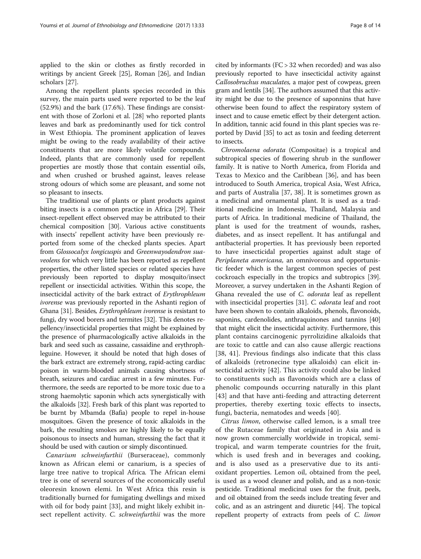applied to the skin or clothes as firstly recorded in writings by ancient Greek [[25](#page-11-0)], Roman [[26](#page-11-0)], and Indian scholars [[27\]](#page-11-0).

Among the repellent plants species recorded in this survey, the main parts used were reported to be the leaf (52.9%) and the bark (17.6%). These findings are consistent with those of Zorloni et al. [[28\]](#page-11-0) who reported plants leaves and bark as predominantly used for tick control in West Ethiopia. The prominent application of leaves might be owing to the ready availability of their active constituents that are more likely volatile compounds. Indeed, plants that are commonly used for repellent properties are mostly those that contain essential oils, and when crushed or brushed against, leaves release strong odours of which some are pleasant, and some not so pleasant to insects.

The traditional use of plants or plant products against biting insects is a common practice in Africa [\[29\]](#page-11-0). Their insect-repellent effect observed may be attributed to their chemical composition [\[30\]](#page-11-0). Various active constituents with insects' repellent activity have been previously reported from some of the checked plants species. Apart from Glossocalyx longicuspis and Greenwayodendron suaveolens for which very little has been reported as repellent properties, the other listed species or related species have previously been reported to display mosquito/insect repellent or insecticidal activities. Within this scope, the insecticidal activity of the bark extract of Erythrophleum ivorense was previously reported in the Ashanti region of Ghana [[31](#page-11-0)]. Besides, Erythrophleum ivorense is resistant to fungi, dry wood borers and termites [\[32\]](#page-11-0). This denotes repellency/insecticidal properties that might be explained by the presence of pharmacologically active alkaloids in the bark and seed such as cassaine, cassaidine and erythrophleguine. However, it should be noted that high doses of the bark extract are extremely strong, rapid-acting cardiac poison in warm-blooded animals causing shortness of breath, seizures and cardiac arrest in a few minutes. Furthermore, the seeds are reported to be more toxic due to a strong haemolytic saponin which acts synergistically with the alkaloids [\[32\]](#page-11-0). Fresh bark of this plant was reported to be burnt by Mbamda (Bafia) people to repel in-house mosquitoes. Given the presence of toxic alkaloids in the bark, the resulting smokes are highly likely to be equally poisonous to insects and human, stressing the fact that it should be used with caution or simply discontinued.

Canarium schweinfurthii (Burseraceae), commonly known as African elemi or canarium, is a species of large tree native to tropical Africa. The African elemi tree is one of several sources of the economically useful oleoresin known elemi. In West Africa this resin is traditionally burned for fumigating dwellings and mixed with oil for body paint [[33\]](#page-11-0), and might likely exhibit insect repellent activity. C. schweinfurthii was the more

cited by informants (FC > 32 when recorded) and was also previously reported to have insecticidal activity against Callosobruchus maculates, a major pest of cowpeas, green gram and lentils [\[34\]](#page-11-0). The authors assumed that this activity might be due to the presence of saponnins that have otherwise been found to affect the respiratory system of insect and to cause emetic effect by their detergent action. In addition, tannic acid found in this plant species was reported by David [[35](#page-11-0)] to act as toxin and feeding deterrent to insects.

Chromolaena odorata (Compositae) is a tropical and subtropical species of flowering shrub in the sunflower family. It is native to North America, from Florida and Texas to Mexico and the Caribbean [[36\]](#page-12-0), and has been introduced to South America, tropical Asia, West Africa, and parts of Australia [\[37](#page-12-0), [38](#page-12-0)]. It is sometimes grown as a medicinal and ornamental plant. It is used as a traditional medicine in Indonesia, Thailand, Malaysia and parts of Africa. In traditional medicine of Thailand, the plant is used for the treatment of wounds, rashes, diabetes, and as insect repellent. It has antifungal and antibacterial properties. It has previously been reported to have insecticidal properties against adult stage of Periplaneta americana, an omnivorous and opportunistic feeder which is the largest common species of pest cockroach especially in the tropics and subtropics [\[39](#page-12-0)]. Moreover, a survey undertaken in the Ashanti Region of Ghana revealed the use of C. odorata leaf as repellent with insecticidal properties [[31](#page-11-0)]. C. odorata leaf and root have been shown to contain alkaloids, phenols, flavonoids, saponins, cardenolides, anthraquinones and tannins [[40](#page-12-0)] that might elicit the insecticidal activity. Furthermore, this plant contains carcinogenic pyrrolizidine alkaloids that are toxic to cattle and can also cause allergic reactions [[38](#page-12-0), [41](#page-12-0)]. Previous findings also indicate that this class of alkaloids (retronecine type alkaloids) can elicit insecticidal activity [\[42](#page-12-0)]. This activity could also be linked to constituents such as flavonoids which are a class of phenolic compounds occurring naturally in this plant [[43](#page-12-0)] and that have anti-feeding and attracting deterrent properties, thereby exerting toxic effects to insects, fungi, bacteria, nematodes and weeds [[40\]](#page-12-0).

Citrus limon, otherwise called lemon, is a small tree of the Rutaceae family that originated in Asia and is now grown commercially worldwide in tropical, semitropical, and warm temperate countries for the fruit, which is used fresh and in beverages and cooking, and is also used as a preservative due to its antioxidant properties. Lemon oil, obtained from the peel, is used as a wood cleaner and polish, and as a non-toxic pesticide. Traditional medicinal uses for the fruit, peels, and oil obtained from the seeds include treating fever and colic, and as an astringent and diuretic [\[44\]](#page-12-0). The topical repellent property of extracts from peels of C. limon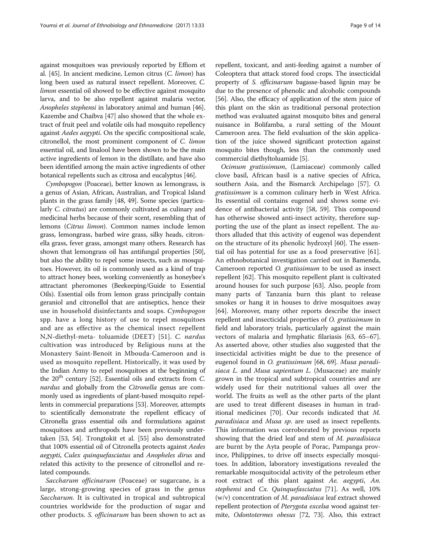against mosquitoes was previously reported by Effiom et al. [[45\]](#page-12-0). In ancient medicine, Lemon citrus (C. limon) has long been used as natural insect repellent. Moreover, C. limon essential oil showed to be effective against mosquito larva, and to be also repellent against malaria vector, Anopheles stephensi in laboratory animal and human [[46](#page-12-0)]. Kazembe and Chaibva [[47](#page-12-0)] also showed that the whole extract of fruit peel and volatile oils had mosquito repellency against Aedes aegypti. On the specific compositional scale, citronellol, the most prominent component of C. limon essential oil, and linalool have been shown to be the main active ingredients of lemon in the distillate, and have also been identified among the main active ingredients of other botanical repellents such as citrosa and eucalyptus [\[46\]](#page-12-0).

Cymbopogon (Poaceae), better known as lemongrass, is a genus of Asian, African, Australian, and Tropical Island plants in the grass family [[48](#page-12-0), [49](#page-12-0)]. Some species (particularly C. citratus) are commonly cultivated as culinary and medicinal herbs because of their scent, resembling that of lemons (Citrus limon). Common names include lemon grass, lemongrass, barbed wire grass, silky heads, citronella grass, fever grass, amongst many others. Research has shown that lemongrass oil has antifungal properties [[50](#page-12-0)], but also the ability to repel some insects, such as mosquitoes. However, its oil is commonly used as a kind of trap to attract honey bees, working conveniently as honeybee's attractant pheromones (Beekeeping/Guide to Essential Oils). Essential oils from lemon grass principally contain geraniol and citronellol that are antiseptics, hence their use in household disinfectants and soaps. Cymbopogon spp. have a long history of use to repel mosquitoes and are as effective as the chemical insect repellent N,N-diethyl-meta- toluamide (DEET) [\[51](#page-12-0)]. C. nardus cultivation was introduced by Religious nuns at the Monastery Saint-Benoit in Mbouda-Cameroon and is used as mosquito repellent. Historically, it was used by the Indian Army to repel mosquitoes at the beginning of the  $20<sup>th</sup>$  century [\[52\]](#page-12-0). Essential oils and extracts from C. nardus and globally from the Citronella genus are commonly used as ingredients of plant-based mosquito repellents in commercial preparations [[53](#page-12-0)]. Moreover, attempts to scientifically demonstrate the repellent efficacy of Citronella grass essential oils and formulations against mosquitoes and arthropods have been previously undertaken [\[53, 54](#page-12-0)]. Trongtokit et al. [\[55\]](#page-12-0) also demonstrated that 100% essential oil of Citronella protects against Aedes aegypti, Culex quinquefasciatus and Anopheles dirus and related this activity to the presence of citronellol and related compounds.

Saccharum officinarum (Poaceae) or sugarcane, is a large, strong-growing species of grass in the genus Saccharum. It is cultivated in tropical and subtropical countries worldwide for the production of sugar and other products. S. officinarum has been shown to act as

repellent, toxicant, and anti-feeding against a number of Coleoptera that attack stored food crops. The insecticidal property of S. officinarum bagasse-based lignin may be due to the presence of phenolic and alcoholic compounds [[56](#page-12-0)]. Also, the efficacy of application of the stem juice of this plant on the skin as traditional personal protection method was evaluated against mosquito bites and general nuisance in Bolifamba, a rural setting of the Mount Cameroon area. The field evaluation of the skin application of the juice showed significant protection against mosquito bites though, less than the commonly used commercial diethyltoluamide [\[5](#page-11-0)].

Ocimum gratissimum, (Lamiaceae) commonly called clove basil, African basil is a native species of Africa, southern Asia, and the Bismarck Archipelago [\[57\]](#page-12-0). O. gratissimum is a common culinary herb in West Africa. Its essential oil contains eugenol and shows some evidence of antibacterial activity [\[58](#page-12-0), [59\]](#page-12-0). This compound has otherwise showed anti-insect activity, therefore supporting the use of the plant as insect repellent. The authors alluded that this activity of eugenol was dependent on the structure of its phenolic hydroxyl [\[60\]](#page-12-0). The essential oil has potential for use as a food preservative [\[61](#page-12-0)]. An ethnobotanical investigation carried out in Bamenda, Cameroon reported O. gratissimum to be used as insect repellent [[62](#page-12-0)]. This mosquito repellent plant is cultivated around houses for such purpose [[63](#page-12-0)]. Also, people from many parts of Tanzania burn this plant to release smokes or hang it in houses to drive mosquitoes away [[64\]](#page-12-0). Moreover, many other reports describe the insect repellent and insecticidal properties of O. gratissimum in field and laboratory trials, particularly against the main vectors of malaria and lymphatic filariasis [\[63, 65](#page-12-0)–[67](#page-12-0)]. As asserted above, other studies also suggested that the insecticidal activities might be due to the presence of eugenol found in O. gratissimum [[68, 69\]](#page-12-0). Musa paradisiaca L. and Musa sapientum L. (Musaceae) are mainly grown in the tropical and subtropical countries and are widely used for their nutritional values all over the world. The fruits as well as the other parts of the plant are used to treat different diseases in human in traditional medicines [\[70\]](#page-12-0). Our records indicated that M. paradisiaca and Musa sp. are used as insect repellents. This information was corroborated by previous reports showing that the dried leaf and stem of M. paradisiaca are burnt by the Ayta people of Porac, Pampanga province, Philippines, to drive off insects especially mosquitoes. In addition, laboratory investigations revealed the remarkable mosquitocidal activity of the petroleum ether root extract of this plant against Ae. aegypti, An. stephensi and Cx. Quinquefasciatus [[71\]](#page-12-0). As well, 10%  $(w/v)$  concentration of M. paradisiaca leaf extract showed repellent protection of Pterygota excelsa wood against termite, Odontotermes obesus [[72](#page-12-0), [73\]](#page-12-0). Also, this extract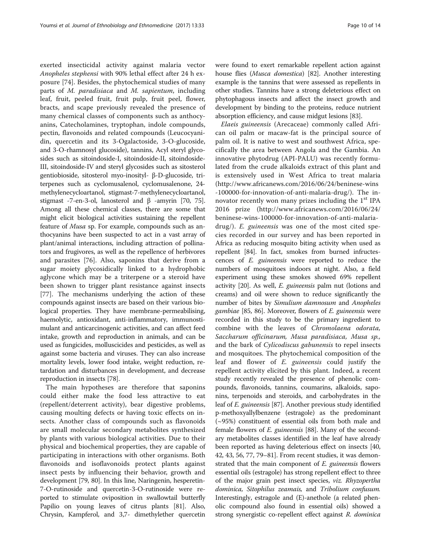exerted insecticidal activity against malaria vector Anopheles stephensi with 90% lethal effect after 24 h exposure [[74\]](#page-12-0). Besides, the phytochemical studies of many parts of M. paradisiaca and M. sapientum, including leaf, fruit, peeled fruit, fruit pulp, fruit peel, flower, bracts, and scape previously revealed the presence of many chemical classes of components such as anthocyanins, Catecholamines, tryptophan, indole compounds, pectin, flavonoids and related compounds (Leucocyanidin, quercetin and its 3-Ogalactoside, 3-O-glucoside, and 3-O-rhamnosyl glucoside), tannins, Acyl steryl glycosides such as sitoindoside-I, sitoindoside-II, sitoindoside-III, sitoindoside-IV and steryl glycosides such as sitosterol gentiobioside, sitosterol myo-inosityl- β-D-glucoside, triterpenes such as cyclomusalenol, cyclomusalenone, 24 methylenecycloartanol, stigmast-7-methylenecycloartanol, stigmast -7-en-3-ol, lanosterol and β -amyrin [[70](#page-12-0), [75](#page-12-0)]. Among all these chemical classes, there are some that might elicit biological activities sustaining the repellent feature of Musa sp. For example, compounds such as anthocyanins have been suspected to act in a vast array of plant/animal interactions, including attraction of pollinators and frugivores, as well as the repellence of herbivores and parasites [\[76](#page-12-0)]. Also, saponins that derive from a sugar moiety glycosidically linked to a hydrophobic aglycone which may be a triterpene or a steroid have been shown to trigger plant resistance against insects [[77\]](#page-12-0). The mechanisms underlying the action of these compounds against insects are based on their various biological properties. They have membrane-permeabilising, haemolytic, antioxidant, anti-inflammatory, immunostimulant and anticarcinogenic activities, and can affect feed intake, growth and reproduction in animals, and can be used as fungicides, molluscicides and pesticides, as well as against some bacteria and viruses. They can also increase mortality levels, lower food intake, weight reduction, retardation and disturbances in development, and decrease reproduction in insects [[78](#page-12-0)].

The main hypotheses are therefore that saponins could either make the food less attractive to eat (repellent/deterrent activity), bear digestive problems, causing moulting defects or having toxic effects on insects. Another class of compounds such as flavonoids are small molecular secondary metabolites synthesized by plants with various biological activities. Due to their physical and biochemical properties, they are capable of participating in interactions with other organisms. Both flavonoids and isoflavonoids protect plants against insect pests by influencing their behavior, growth and development [\[79](#page-12-0), [80\]](#page-12-0). In this line, Naringenin, hesperetin-7-O-rutinoside and quercetin-3-O-rutinoside were reported to stimulate oviposition in swallowtail butterfly Papilio on young leaves of citrus plants [[81](#page-12-0)]. Also, Chrysin, Kampferol, and 3,7- dimethylether quercetin were found to exert remarkable repellent action against house flies (Musca domestica) [[82](#page-12-0)]. Another interesting example is the tannins that were assessed as repellents in other studies. Tannins have a strong deleterious effect on phytophagous insects and affect the insect growth and development by binding to the proteins, reduce nutrient absorption efficiency, and cause midgut lesions [[83\]](#page-12-0).

Elaeis guineensis (Arecaceae) commonly called African oil palm or macaw-fat is the principal source of palm oil. It is native to west and southwest Africa, specifically the area between Angola and the Gambia. An innovative phytodrug (API-PALU) was recently formulated from the crude alkaloids extract of this plant and is extensively used in West Africa to treat malaria (http://www.africanews.com/2016/06/24/beninese-wins -100000-for-innovation-of-anti-malaria-drug/). The innovator recently won many prizes including the  $1<sup>st</sup>$  IPA 2016 prize (http://www.africanews.com/2016/06/24/ beninese-wins-100000-for-innovation-of-anti-malariadrug/). E. guineensis was one of the most cited species recorded in our survey and has been reported in Africa as reducing mosquito biting activity when used as repellent [\[84](#page-12-0)]. In fact, smokes from burned infructescences of E. guineensis were reported to reduce the numbers of mosquitoes indoors at night. Also, a field experiment using these smokes showed 69% repellent activity [[20\]](#page-11-0). As well, E. guineensis palm nut (lotions and creams) and oil were shown to reduce significantly the number of bites by Simulium damnosum and Anopheles gambiae [\[85, 86\]](#page-12-0). Moreover, flowers of E. guineensis were recorded in this study to be the primary ingredient to combine with the leaves of Chromolaena odorata, Saccharum officinarum, Musa paradisiaca, Musa sp., and the bark of Cylicodiscus gabunensis to repel insects and mosquitoes. The phytochemical composition of the leaf and flower of E. guineensis could justify the repellent activity elicited by this plant. Indeed, a recent study recently revealed the presence of phenolic compounds, flavonoids, tannins, coumarins, alkaloids, saponins, terpenoids and steroids, and carbohydrates in the leaf of E. guineensis [\[87\]](#page-13-0). Another previous study identified p-methoxyallylbenzene (estragole) as the predominant (~95%) constituent of essential oils from both male and female flowers of E. guineensis [\[88\]](#page-13-0). Many of the secondary metabolites classes identified in the leaf have already been reported as having deleterious effect on insects [[40](#page-12-0), [42](#page-12-0), [43, 56](#page-12-0), [77, 79](#page-12-0)–[81\]](#page-12-0). From recent studies, it was demonstrated that the main component of E. guineensis flowers essential oils (estragole) has strong repellent effect to three of the major grain pest insect species, viz. Rhyzopertha dominica, Sitophilus zeamais, and Tribolium confusum. Interestingly, estragole and (E)-anethole (a related phenolic compound also found in essential oils) showed a strong synergistic co-repellent effect against R. dominica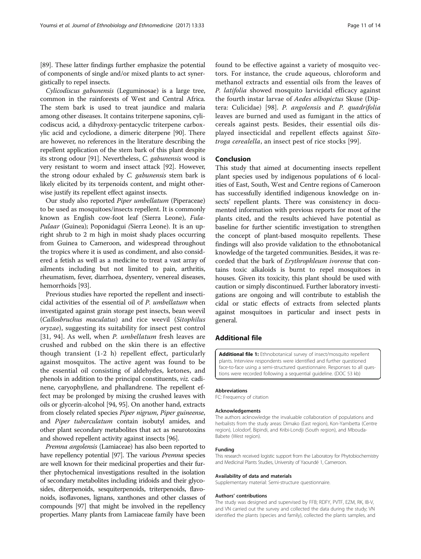<span id="page-10-0"></span>[[89](#page-13-0)]. These latter findings further emphasize the potential of components of single and/or mixed plants to act syner-

gistically to repel insects. Cylicodiscus gabunensis (Leguminosae) is a large tree, common in the rainforests of West and Central Africa. The stem bark is used to treat jaundice and malaria among other diseases. It contains triterpene saponins, cylicodiscus acid, a dihydroxy-pentacyclic triterpene carboxylic acid and cyclodione, a dimeric diterpene [\[90\]](#page-13-0). There are however, no references in the literature describing the repellent application of the stem bark of this plant despite its strong odour [[91](#page-13-0)]. Nevertheless, C. gabunensis wood is very resistant to worm and insect attack [\[92\]](#page-13-0). However, the strong odour exhaled by C. gabunensis stem bark is likely elicited by its terpenoids content, and might otherwise justify its repellent effect against insects.

Our study also reported Piper umbellatum (Piperaceae) to be used as mosquitoes/insects repellent. It is commonly known as English cow-foot leaf (Sierra Leone), Fula-Pulaar (Guinea); Poponidagui (Sierra Leone). It is an upright shrub to 2 m high in moist shady places occurring from Guinea to Cameroon, and widespread throughout the tropics where it is used as condiment, and also considered a fetish as well as a medicine to treat a vast array of ailments including but not limited to pain, arthritis, rheumatism, fever, diarrhoea, dysentery, venereal diseases, hemorrhoids [[93](#page-13-0)].

Previous studies have reported the repellent and insecticidal activities of the essential oil of P. umbellatum when investigated against grain storage pest insects, bean weevil (Callosbruchus maculatus) and rice weevil (Sitophilus oryzae), suggesting its suitability for insect pest control [[31,](#page-11-0) [94](#page-13-0)]. As well, when P. umbellatum fresh leaves are crushed and rubbed on the skin there is an effective though transient (1-2 h) repellent effect, particularly against mosquitos. The active agent was found to be the essential oil consisting of aldehydes, ketones, and phenols in addition to the principal constituents, viz. cadinene, caryophyllene, and phallandrene. The repellent effect may be prolonged by mixing the crushed leaves with oils or glycerin-alcohol [[94](#page-13-0), [95\]](#page-13-0). On another hand, extracts from closely related species Piper nigrum, Piper guineense, and Piper tuberculatum contain isobutyl amides, and other plant secondary metabolites that act as neurotoxins and showed repellent activity against insects [[96](#page-13-0)].

Premna angolensis (Lamiaceae) has also been reported to have repellency potential [\[97\]](#page-13-0). The various *Premna* species are well known for their medicinal properties and their further phytochemical investigations resulted in the isolation of secondary metabolites including iridoids and their glycosides, diterpenoids, sesquiterpenoids, triterpenoids, flavonoids, isoflavones, lignans, xanthones and other classes of compounds [[97](#page-13-0)] that might be involved in the repellency properties. Many plants from Lamiaceae family have been

found to be effective against a variety of mosquito vectors. For instance, the crude aqueous, chloroform and methanol extracts and essential oils from the leaves of P. latifolia showed mosquito larvicidal efficacy against the fourth instar larvae of Aedes albopictus Skuse (Diptera: Culicidae) [[98\]](#page-13-0). P. angolensis and P. quadrifolia leaves are burned and used as fumigant in the attics of cereals against pests. Besides, their essential oils displayed insecticidal and repellent effects against Sitotroga cerealella, an insect pest of rice stocks [\[99](#page-13-0)].

#### Conclusion

This study that aimed at documenting insects repellent plant species used by indigenous populations of 6 localities of East, South, West and Centre regions of Cameroon has successfully identified indigenous knowledge on insects' repellent plants. There was consistency in documented information with previous reports for most of the plants cited, and the results achieved have potential as baseline for further scientific investigation to strengthen the concept of plant-based mosquito repellents. These findings will also provide validation to the ethnobotanical knowledge of the targeted communities. Besides, it was recorded that the bark of Erythrophleum ivorense that contains toxic alkaloids is burnt to repel mosquitoes in houses. Given its toxicity, this plant should be used with caution or simply discontinued. Further laboratory investigations are ongoing and will contribute to establish the cidal or static effects of extracts from selected plants against mosquitoes in particular and insect pests in general.

# Additional file

[Additional file 1:](dx.doi.org/10.1186/s13002-017-0155-x) Ethnobotanical survey of insect/mosquito repellent plants. Interview respondents were identified and further questioned face-to-face using a semi-structured questionnaire. Responses to all questions were recorded following a sequential guideline. (DOC 53 kb)

#### Abbreviations

FC: Frequency of citation

#### Acknowledgements

The authors acknowledge the invaluable collaboration of populations and herbalists from the study areas: Dimako (East region), Kon-Yambetta (Centre region), Lolodorf, Bipindi, and Kribi-Londji (South region), and Mbouda-Babete (West region).

#### Funding

This research received logistic support from the Laboratory for Phytobiochemistry and Medicinal Plants Studies, University of Yaoundé 1, Cameroon.

#### Availability of data and materials

Supplementary material: Semi-structure questionnaire.

#### Authors' contributions

The study was designed and supervised by FFB; RDFY, PVTF, EZM, RK, IB-V, and VN carried out the survey and collected the data during the study; VN identified the plants (species and family), collected the plants samples, and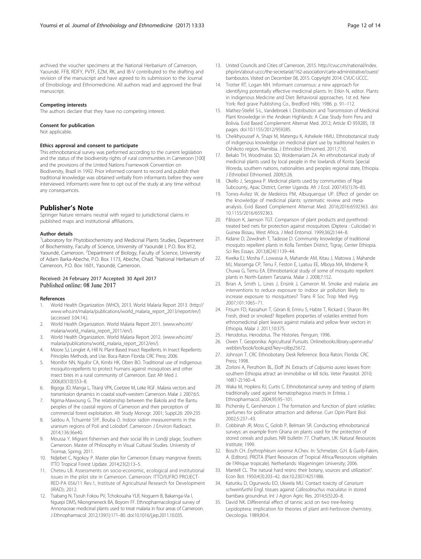<span id="page-11-0"></span>archived the voucher specimens at the National Herbarium of Cameroon, Yaoundé. FFB, RDFY, PVTF, EZM, RK, and IB-V contributed to the drafting and revision of the manuscript and have agreed to its submission to the Journal of Etnobiology and Ethnomedicine. All authors read and approved the final manuscript.

#### Competing interests

The authors declare that they have no competing interest.

#### Consent for publication

Not applicable.

#### Ethics approval and consent to participate

This ethnobotanical survey was performed according to the current legislation and the status of the biodiversity rights of rural communities in Cameroon [[100](#page-13-0)] and the provisions of the United Nations Framework Convention on Biodiversity, Brazil in 1992. Prior informed consent to record and publish their traditional knowledge was obtained verbally from informants before they were interviewed. Informants were free to opt out of the study at any time without any consequences.

#### Publisher's Note

Springer Nature remains neutral with regard to jurisdictional claims in published maps and institutional affiliations.

#### Author details

<sup>1</sup> Laboratory for Phytobiochemistry and Medicinal Plants Studies, Department of Biochemistry, Faculty of Science, University of Yaoundé I, P.O. Box 812, Yaoundé, Cameroon. <sup>2</sup>Department of Biology, Faculty of Science, University of Adam Barka-Abeche, P.O. Box 1173, Abeche, Chad. <sup>3</sup>National Herbarium of Cameroon, P.O. Box 1601, Yaoundé, Cameroon.

# Received: 24 February 2017 Accepted: 30 April 2017

#### References

- 1. World Health Organization (WHO), 2013. World Malaria Report 2013. [\(http://](http://www.who.int/malaria/publications/world_malaria_report_2013/report/en/) [www.who.int/malaria/publications/world\\_malaria\\_report\\_2013/report/en/](http://www.who.int/malaria/publications/world_malaria_report_2013/report/en/)) (accessed 3.04.14.).
- 2. World Health Organization. World Malaria Report 2011. [\(www.who.int/](http://www.who.int/malaria/world_malaria_report_2011/en/) [malaria/world\\_malaria\\_report\\_2011/en/\)](http://www.who.int/malaria/world_malaria_report_2011/en/).
- 3. World Health Organization. World Malaria Report 2012. [\(www.who.int/](http://www.who.int/malaria/publications/world_malaria_report_2012/en/) [malaria/publications/world\\_malaria\\_report\\_2012/en/\)](http://www.who.int/malaria/publications/world_malaria_report_2012/en/).
- 4. Moore SJ, Lenglet A, Hill N. Plant-Based Insect Repellents. In Insect Repellents: Principles Methods, and Use. Boca Raton Florida: CRC Press; 2006.
- 5. Ntonifor NN, Ngufor CA, Kimbi HK, Oben BO. Traditional use of indigenous mosquito-repellents to protect humans against mosquitoes and other insect bites in a rural community of Cameroon. East Afr Med J. 2006;83(10):553–8.
- 6. Bigoga JD, Manga L, Titanji VPK, Coetzee M, Leke RGF. Malaria vectors and transmission dynamics in coastal south-western Cameroon. Malar J. 2007;6:5.
- Ngima-Mawoung G. The relationship between the Bakola and the Bantu peoples of the coastal regions of Cameroon and their perception of commercial forest exploitation. Afr Study Monogr. 2001; Suppl.26: 209-235
- 8. Saïdou A, Tchuente SYF, Bouba O. Indoor radon measurements in the uranium regions of Poli and Lolodorf. Cameroon J Environ Radioact. 2014;136:36e40.
- 9. Moussa Y. Migrant fishermen and their social life in Londji plage, Southern Cameroon. Master of Philosophy in Visual Cultural Studies. University of Tromsø, Spring; 2011.
- 10. Ndjebet C, Ngokoy P. Master plan for Cameroon Estuary mangrove forests. ITTO Tropical Forest Update. 2014;23(2):13–5.
- 11. Cheteu LB. Assessments on socio-economic, ecological and institutional issues in the pilot site in Cameroon. Cameroon: ITTO/IUFRO PROJECT-RED-PA 056/11 Rev.1, Institute of Agricultural Research for Development (IRAD); 2012.
- 12. Tsabang N, Tsouh Fokou PV, Tchokouaha YLR, Noguem B, Bakarnga-Via I, Nguepi DMS, Nkongmeneck BA, Boyom FF. Ethnopharmacological survey of Annonaceae medicinal plants used to treat malaria in four areas of Cameroon. J Ethnopharmacol. 2012;139(1):171–80. doi[:10.1016/j.jep.2011.10.035.](http://dx.doi.org/10.1016/j.jep.2011.10.035)
- 13. United Councils and Cities of Cameroon, 2015. [http://cvuc.cm/national/index.](http://cvuc.cm/national/index.php/en/about-uccc/the-secretariat/162-association/carte-administrative/ouest/bamboutos) [php/en/about-uccc/the-secretariat/162-association/carte-administrative/ouest/](http://cvuc.cm/national/index.php/en/about-uccc/the-secretariat/162-association/carte-administrative/ouest/bamboutos) [bamboutos.](http://cvuc.cm/national/index.php/en/about-uccc/the-secretariat/162-association/carte-administrative/ouest/bamboutos) Visited on December 08, 2015. Copyright 2014: CVUC-UCCC.
- 14. Trotter RT, Logan MH. Informant consensus: a new approach for identifying potentially effective medicinal plants. In: Etkin N, editor. Plants in Indigenous Medicine and Diet: Behavioral approaches. 1st ed. New York: Red grave Publishing Co., Bredford Hills; 1986. p. 91–112.
- 15. Mathez-Stiefel S-L, Vandebroek I. Distribution and Transmission of Medicinal Plant Knowledge in the Andean Highlands: A Case Study from Peru and Bolivia. Evid Based Complement Alternat Med. 2012; Article ID 959285, 18 pages. doi[:10.1155/2012/959285.](http://dx.doi.org/10.1155/2012/959285)
- 16. Cheikhyoussef A, Shapi M, Matengu K, Ashekele HMU. Ethnobotanical study of indigenous knowledge on medicinal plant use by traditional healers in Oshikoto region, Namibia. J Ethnobiol Ethnomed. 2011;7:10.
- 17. Bekalo TH, Woodmatas SD, Woldemariam ZA. An ethnobotanical study of medicinal plants used by local people in the lowlands of Konta Special Woreda, southern nations, nationalities and peoples regional state, Ethiopia. J Ethnobiol Ethnomed. 2009;5:26.
- 18. Okello J, Sesgawa P. Medicinal plants used by communities of Ngai Subcounty, Apac District, Center Uganda. Afr J Ecol. 2007;45(1):76–83.
- 19. Torres-Avilez W, de Medeiros PM, Albuquerque UP. Effect of gender on the knowledge of medicinal plants: systematic review and metaanalysis. Evid Based Complement Alternat Med. 2016;2016:6592363. doi: [10.1155/2016/6592363.](http://dx.doi.org/10.1155/2016/6592363)
- 20. Pålsson K, Jaenson TGT. Comparison of plant products and pyrethroidtreated bed nets for protection against mosquitoes (Diptera : Culicidae) in Guinea Bissau, West Africa. J Med Entomol. 1999;36(2):144–8.
- 21. Kidane D, Zewdneh T, Tadesse D. Community knowledge of traditional mosquito repellent plants in Kolla Temben District, Tigray, Center Ethiopia. Sci Res Essays. 2013;8(24):1139–44.
- 22. Kweka EJ, Mosha F, Lowassa A, Mahande AM, Kitau J, Matowa J, Mahande MJ, Massenga CP, Tenu F, Feston E, Lyatuu EE, Mboya MA, Mndeme R, Chuwa G, Temu EA. Ethnobotanical study of some of mosquito repellent plants in North-Eastern Tanzania. Malar J. 2008;7:152.
- 23. Biran A, Smith L, Lines J, Ensink J, Cameron M. Smoke and malaria: are interventions to reduce exposure to indoor air pollution likely to increase exposure to mosquitoes? Trans R Soc Trop Med Hyg. 2007;101:1065–71.
- 24. Fitsum FD, Kassahun T, Göran B, Emiru S, Habte T, Rickard I, Sharon RH. Fresh, dried or smoked? Repellent properties of volatiles emitted from ethnomedicinal plant leaves against malaria and yellow fever vectors in Ethiopia. Malar J. 2011;10:375.
- 25. Herodotus. Herodotus. The Histories. Penguin; 1996.
- 26. Owen T. Geoponika: Agricultural Pursuits. Onlinebooks.library.upenn.edu/ webbin/book/lookupid?key=olbp25672.
- 27. Johnson T. CRC Ethnobotany Desk Reference. Boca Raton, Florida: CRC Press; 1998.
- 28. Zorloni A, Penzhorn BL, Eloff JN. Extracts of Calpurnia aurea leaves from southern Ethiopia attract an immobilise or kill ticks. Veter Parasitol. 2010; 168(1-2):160–4.
- 29. Waka M, Hopkins RJ, Curtis C. Ethnobotanical survey and testing of plants traditionally used against hematophagous insects in Eritrea. J Ethnopharmacol. 2004;95:95–101.
- 30. Pichersky E, Gershenzon J. The formation and function of plant volatiles: perfumes for pollinator attraction and defense. Curr Opin Plant Biol. 2002;5:237–43.
- 31. Cobbinah JR, Moss C, Golob P, Belmain SR. Conducting ethnobotanical surveys: an example from Ghana on plants used for the protection of stored cereals and pulses. NRI bulletin 77. Chatham, UK: Natural Resources Institute; 1999.
- 32. Bosch CH. Erythrophleum ivorense A.Chev. In: Schmelzer, G.H. & Gurib-Fakim, A. (Editors). PROTA (Plant Resources of Tropical Africa/Ressources végétales de l'Afrique tropicale). Netherlands: Wageningen University; 2006.
- 33. Mantell CL. The natural hard resins: their botany, sources and utilization". Econ Bot. 1950;4(3):203–42. doi[:10.2307/4251986](http://dx.doi.org/10.2307/4251986).
- 34. Katunku D, Ogunwolu EO, Ukwela MU. Contact toxicity of Canarium schweinfurthii Engl. tissues against Callosobruchus maculatus in stored bambara groundnut. Int J Agron Agric Res. 2014;5(5):20–8.
- 35. David NK. Differential effect of tannic acid on two tree-feeing Lepidoptera: implication for theories of plant anti-herbivore chemistry. Oecologia. 1989;80:4.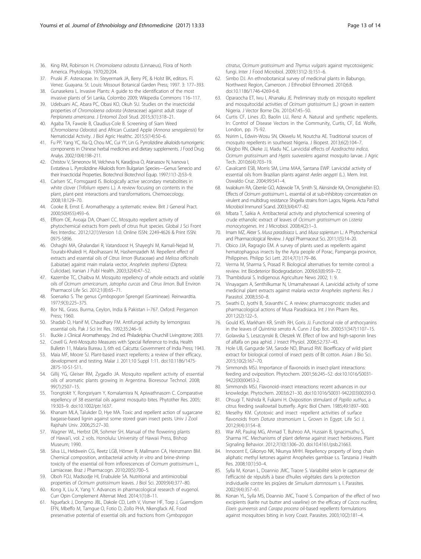- <span id="page-12-0"></span>36. King RM, Robinson H. Chromolaena odorata (Linnaeus), Flora of North America. Phytologia. 1970;20:204.
- 37. Pruski JF. Asteraceae. In: Steyermark JA, Berry PE, & Holst BK, editors. Fl. Venez. Guayana. St. Louis: Missouri Botanical Garden Press; 1997. 3: 177–393.
- 38. Gunasekera L. Invasive Plants: A guide to the identification of the most invasive plants of Sri Lanka, Colombo 2009; Wikipedia Commons 116–117.
- 39. Udebuani AC, Abara PC, Obasi KO, Okuh SU. Studies on the insecticidal properties of Chromolaena odorata (Asteraceae) against adult stage of Periplaneta americana. J Entomol Zool Stud. 2015;3(1):318–21.
- 40. Agaba TA, Fawole B, Claudius-Cole B. Screening of Siam Weed (Chromolaena Odorata) and African Custard Apple (Annona senegalensis) for Nematicidal Activity. J Biol Agric Healthc. 2015;5(14):50–6.
- 41. Fu PP, Yang YC, Xia Q, Chou MC, Cui YY, Lin G. Pyrrolizidine alkaloids-tumorigenic components in Chinese herbal medicines and dietary supplements. J Food Drug Analys. 2002;10(4):198–211.
- 42. Christov V, Simeonov M, Velcheva N, Karadjova O, Atanassov N, Ivanova I, Evstatieva L. Pyrrolizidine Alkaloids from Bulgarian Species—Genus Senecio and their Insecticidal Properties. Biotechnol Biotechnol Equip. 1997;11(1-2):53–9.
- 43. Carlsen SC, Fomsgaard IS. Biologically active secondary metabolities in white clover (Trifolium repens L.). A review focusing on contents in the plant, plant-pest interactions and transformations. Chemoecology. 2008;18:129–70.
- 44. Cooke B, Ernst E. Aromatherapy: a systematic review. Brit J General Pract. 2000;50(455):493–6.
- 45. Effiom OE, Avoaja DA, Ohaeri CC. Mosquito repellent activity of phytochemical extracts from peels of citrus fruit species. Global J Sci Front Res Interdisc. 2012;12(1):Version 1.0. Online ISSN: 2249-4626 & Print ISSN: 0975-5896.
- 46. Oshaghi MA, Ghalandari R, Vatandoost H, Shayeghi M, Kamali-Nejad M, Tourabi-Khaledi H, Abolhassani M, Hashemzadeh M. Repellent effect of extracts and essential oils of Citrus limon (Rutaceae) and Melissa officinalis (Labiatae) against main malaria vector, Anopheles stephensi (Diptera: Culicidae). Iranian J Publ Health. 2003;32(4):47–52.
- 47. Kazembe TC, Chaibva M. Mosquito repellency of whole extracts and volatile oils of Ocimum americanum, Jatropha curcas and Citrus limon. Bull Environ Pharmacol Life Sci. 2012;1(8):65–71.
- 48. Soenarko S. The genus Cymbopogon Sprengel (Gramineae). Reinwardtia. 1977;9(3):225–375.
- 49. Bor NL. Grass. Burma, Ceylon, India & Pakistan i–767. Oxford: Pergamon Press; 1960.
- 50. Shadab O, Hanif M, Chaudhary FM. Antifungal activity by lemongrass essential oils. Pak J Sci Int Res. 1992;35:246–9.
- 51. Buckle J. Clinical Aromatherapy. 2nd ed. Philadelphia: Churchill Livingstone; 2003. 52. Covell G. Anti-Mosquito Measures with Special Reference to India, Health
- Bulletin 11, Malaria Bureau 3, 6th ed. Calcutta: Government of India Press; 1943. 53. Maia MF, Moore SJ. Plant-based insect repellents: a review of their efficacy, development and testing. Malar J. 2011;10 Suppl 1:11. doi[:10.1186/1475-](http://dx.doi.org/10.1186/1475-2875-10-S1-S11)
- [2875-10-S1-S11](http://dx.doi.org/10.1186/1475-2875-10-S1-S11). 54. Gillij YG, Gleiser RM, Zygadlo JA. Mosquito repellent activity of essential oils of aromatic plants growing in Argentina. Bioresour Technol. 2008; 99(7):2507–15.
- 55. Trongtokit Y, Rongsriyam Y, Komalamisra N, Apiwathnasorn C. Comparative repellency of 38 essential oils against mosquito bites. Phytother Res. 2005; 19:303–9. doi:[10.1002/ptr.1637.](http://dx.doi.org/10.1002/ptr.1637)
- 56. Khanam MLA, Talukder D, Hye MA. Toxic and repellent action of sugarcane bagasse-based lignin against some stored grain insect pests. Univ J Zool Rajshahi Univ. 2006;25:27–30.
- 57. Wagner WL, Herbst DR, Sohmer SH. Manual of the flowering plants of Hawai'i, vol. 2 vols. Honolulu: University of Hawaii Press, Bishop Museum; 1990.
- 58. Silva LL, Heldwein CG, Reetz LGB, Hörner R, Mallmann CA, Heinzmann BM. Chemical composition, antibacterial activity in vitro and brine-shrimp toxicity of the essential oil from inflorescences of Ocimum gratissimum L., Lamiaceae. Braz J Pharmacogn. 2010;20(5):700–5.
- 59. Oboh FOJ, Madsodje HI, Enabulele SA. Nutritional and antimicrobial properties of Ocimum gratissimum leaves. J Biol Sci. 2009;9(4):377–80.
- 60. Kong X, Liu X, Yang Y. Advances in pharmacological research of eugenol. Curr Opin Complement Alternat Med. 2014;1(1):8–11.
- 61. Nguefack J, Dongmo JBL, Dakole CD, Leth V, Vismer HF, Torp J, Guemdjom EFN, Mbeffo M, Tamgue O, Fotio D, Zollo PHA, Nkengfack AE. Food preservative potential of essential oils and fractions from Cymbopogon

citratus, Ocimum gratissimum and Thymus vulgaris against mycotoxigenic fungi. Inter J Food Microbiol. 2009;131(2-3):151–6.

- 62. Simbo DJ. An ethnobotanical survey of medicinal plants in Babungo, Northwest Region, Cameroon. J Ethnobiol Ethnomed. 2010;6:8. doi[:10.1186/1746-4269-6-8.](http://dx.doi.org/10.1186/1746-4269-6-8)
- 63. Oparaocha ET, Iwu I, Ahanaku JE. Preliminary study on mosquito repellent and mosquitocidal activities of Ocimum gratissimum (L.) grown in eastern Nigeria. J Vector Borne Dis. 2010;47:45–50.
- 64. Curtis CF, Lines JD, Baolin LU, Renz A. Natural and synthetic repellents. In: Control of Disease Vectors in the Community, Curtis, CF, Ed. Wolfe, London, pp. 75-92.
- 65. Nsirim L, Edwin-Wosu SN, Okiwelu M, Noutcha AE. Traditional sources of mosquito repellents in southeast Nigeria. J Biopest. 2013;6(2):104–7.
- 66. Okigbo RN, Okeke JJ, Madu NC. Larvicidal effects of Azadirachta indica, Ocimum gratissimum and Hyptis suaveolens against mosquito larvae. J Agric Tech. 2010;6(4):703–19.
- 67. Cavalcanti ESB, Morris SM, Lima MAA, Santana EWP. Larvicidal activity of essential oils from Brazilian plants against Aedes aegypti (L.). Mem. Inst. Oswaldo Cruz. 2004;99:541–4.
- 68. Iwalokum RA, Gbenle GO, Adewole TA, Smith SI, Akinsinde KA, Omonigbehin EO. Effects of Ocimum gratissimum L. essential oil at sub-inhibitory concentration on virulent and multidrug resistance Shigella strains from Lagos, Nigeria. Acta Pathol Microbiol Immunol Scand. 2003;3(4):477–82.
- 69. Mbata T, Saikia A. Antibacterial activity and phytochemical screening of crude ethanolic extract of leaves of Ocimum gratissimum on Listeria monocytogenes. Int J Microbiol. 2008;4(2):1–3.
- 70. Imam MZ, Akter S. Musa paradisiaca L. and Musa sapientum L.: A Phytochemical and Pharmacological Review. J Appl Pharmaceut Sci. 2011;1(5):14–20.
- 71. Obico JJA, Ragragio EM. A survey of plants used as repellents against hematophagous insects by the Ayta people of Porac, Pampanga province, Philippines. Philipp Sci Lett. 2014;7(1):179–86.
- 72. Verma M, Sharma S, Prasad R. Biological alternatives for termite control: a review. Int Biodeterior Biodegradation. 2009;63(8):959–72.
- 73. Thambidurai S. Indigenous Agriculture News 2002; 1: 9.
- 74. Vinayagam A, Senthilkumar N, Umamaheswari A. Larvicidal activity of some medicinal plant extracts against malaria vector Anopheles stephensi. Res J Parasitol. 2008;3:50–8.
- 75. Swathi D, Jyothi B, Sravanthi C. A review: pharmacognostic studies and pharmacological actions of Musa Paradisiaca. Int J Inn Pharm Res. 2011;2(2):122–5.
- 76. Gould KS, Markham KR, Smith RH, Goris JJ. Functional role of anthocyanins in the leaves of Quintinia serrata A. Cunn J Exp Bot. 2000;51(347):1107–15.
- 77. Golawska S, Leszczynski B, Oleszek W. Effect of low and high-saponin lines of alfalfa on pea aphid. J Insect Physiol. 2006;52:737–43.
- 78. Hole UB, Gangurde SM, Sarode ND, Bharud RW. Bioefficacy of wild plant extract for biological control of insect pests of Bt cotton. Asian J Bio Sci. 2015;10(2):167–70.
- 79. Simmonds MSJ. Importance of flavonoids in insect-plant interactions: feeding and oviposition. Phytochem. 2001;56:245–52. doi[:10.1016/S0031-](http://dx.doi.org/10.1016/S0031-9422(00)00453-2) [9422\(00\)00453-2](http://dx.doi.org/10.1016/S0031-9422(00)00453-2).
- 80. Simmonds MSJ. Flavonoid–insect interactions: recent advances in our knowledge. Phytochem. 2003;6:21–30. doi:[10.1016/S0031-9422\(03\)00293-0.](http://dx.doi.org/10.1016/S0031-9422(03)00293-0)
- 81. Ohsugi T, Nishida R, Fukami H. Oviposition stimulant of Papilio xuthus, a citrus feeding swallowtail butterfly. Agric Biol Chem. 1985;49:1897–900.
- 82. Meselhy KM. Cytotoxic and insect -repellent activities of surface flavonoids from *Datura stramonium* L. Grown in Egypt. Life Sci J. 2012;9(4):3154–8.
- War AR, Paulraj MG, Ahmad T, Buhroo AA, Hussain B, Ignacimuthu S, Sharma HC. Mechanisms of plant defense against insect herbivores. Plant Signaling Behavior. 2012;7(10):1306–20. doi:[10.4161/psb.21663](http://dx.doi.org/10.4161/psb.21663).
- 84. Innocent E, Gikonyo NK, Nkunya MHH. Repellency property of long chain aliphatic methyl ketones against Anopheles gambiae s.s. Tanzania J Health Res. 2008;10(1):50–4.
- 85. Sylla M, Konan L, Doannio JMC, Traore S. Variabilité selon le captureur de l'efficacité de répulsifs à base d'huiles végétales dans la protection individuelle contre les piqûres de Simulium damnosum s. l. Parasites. 2002;9(4):357–61.
- 86. Konan YL, Sylla MS, Doannio JMC, Traoré S. Comparison of the effect of two excipients (karite nut butter and vaseline) on the efficacy of Cocos nucifera, Elaeis guineensis and Carapa procera oil-based repellents formulations against mosquitoes biting in Ivory Coast. Parasites. 2003;10(2):181–4.